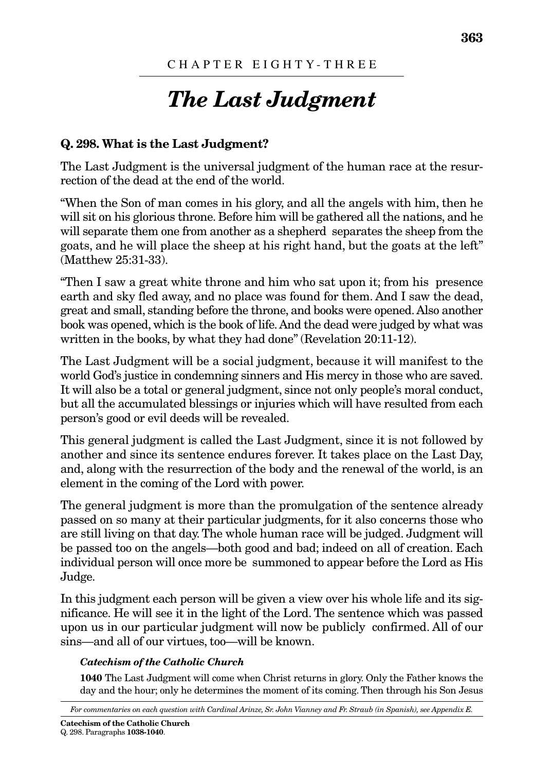# *The Last Judgment*

## **Q. 298. What is the Last Judgment?**

The Last Judgment is the universal judgment of the human race at the resurrection of the dead at the end of the world.

"When the Son of man comes in his glory, and all the angels with him, then he will sit on his glorious throne. Before him will be gathered all the nations, and he will separate them one from another as a shepherd separates the sheep from the goats, and he will place the sheep at his right hand, but the goats at the left" (Matthew 25:31-33).

"Then I saw a great white throne and him who sat upon it; from his presence earth and sky fled away, and no place was found for them. And I saw the dead, great and small, standing before the throne, and books were opened.Also another book was opened, which is the book of life.And the dead were judged by what was written in the books, by what they had done" (Revelation 20:11-12).

The Last Judgment will be a social judgment, because it will manifest to the world God's justice in condemning sinners and His mercy in those who are saved. It will also be a total or general judgment, since not only people's moral conduct, but all the accumulated blessings or injuries which will have resulted from each person's good or evil deeds will be revealed.

This general judgment is called the Last Judgment, since it is not followed by another and since its sentence endures forever. It takes place on the Last Day, and, along with the resurrection of the body and the renewal of the world, is an element in the coming of the Lord with power.

The general judgment is more than the promulgation of the sentence already passed on so many at their particular judgments, for it also concerns those who are still living on that day. The whole human race will be judged. Judgment will be passed too on the angels—both good and bad; indeed on all of creation. Each individual person will once more be summoned to appear before the Lord as His Judge.

In this judgment each person will be given a view over his whole life and its significance. He will see it in the light of the Lord. The sentence which was passed upon us in our particular judgment will now be publicly confirmed. All of our sins—and all of our virtues, too—will be known.

#### *Catechism of the Catholic Church*

**1040** The Last Judgment will come when Christ returns in glory. Only the Father knows the day and the hour; only he determines the moment of its coming. Then through his Son Jesus

*For commentaries on each question with Cardinal Arinze, Sr. John Vianney and Fr. Straub (in Spanish), see Appendix E.*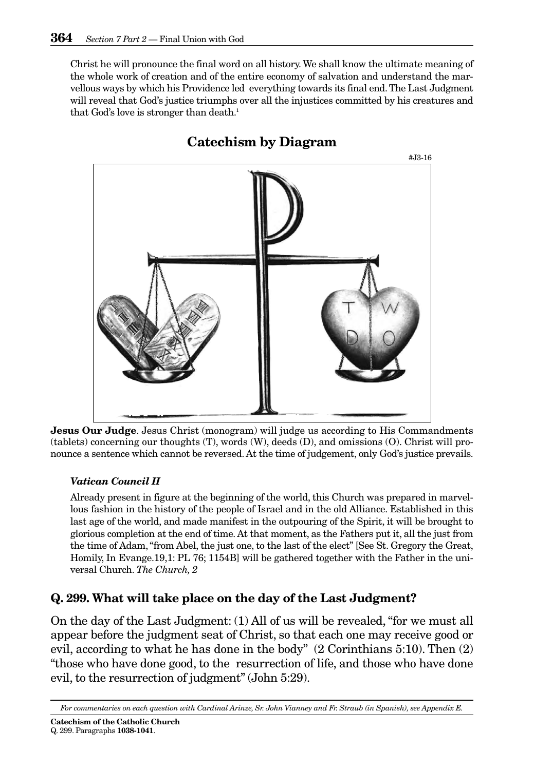Christ he will pronounce the final word on all history. We shall know the ultimate meaning of the whole work of creation and of the entire economy of salvation and understand the marvellous ways by which his Providence led everything towards its final end.The Last Judgment will reveal that God's justice triumphs over all the injustices committed by his creatures and that God's love is stronger than death.<sup>1</sup>



# **Catechism by Diagram**

**Jesus Our Judge**. Jesus Christ (monogram) will judge us according to His Commandments (tablets) concerning our thoughts (T), words (W), deeds (D), and omissions (O). Christ will pronounce a sentence which cannot be reversed. At the time of judgement, only God's justice prevails.

#### *Vatican Council II*

Already present in figure at the beginning of the world, this Church was prepared in marvellous fashion in the history of the people of Israel and in the old Alliance. Established in this last age of the world, and made manifest in the outpouring of the Spirit, it will be brought to glorious completion at the end of time. At that moment, as the Fathers put it, all the just from the time of Adam, "from Abel, the just one, to the last of the elect" [See St. Gregory the Great, Homily, In Evange.19,1: PL 76; 1154B] will be gathered together with the Father in the universal Church. *The Church, 2*

## **Q. 299. What will take place on the day of the Last Judgment?**

On the day of the Last Judgment: (1) All of us will be revealed, "for we must all appear before the judgment seat of Christ, so that each one may receive good or evil, according to what he has done in the body" (2 Corinthians 5:10). Then (2) "those who have done good, to the resurrection of life, and those who have done evil, to the resurrection of judgment" (John 5:29).

*For commentaries on each question with Cardinal Arinze, Sr. John Vianney and Fr. Straub (in Spanish), see Appendix E.*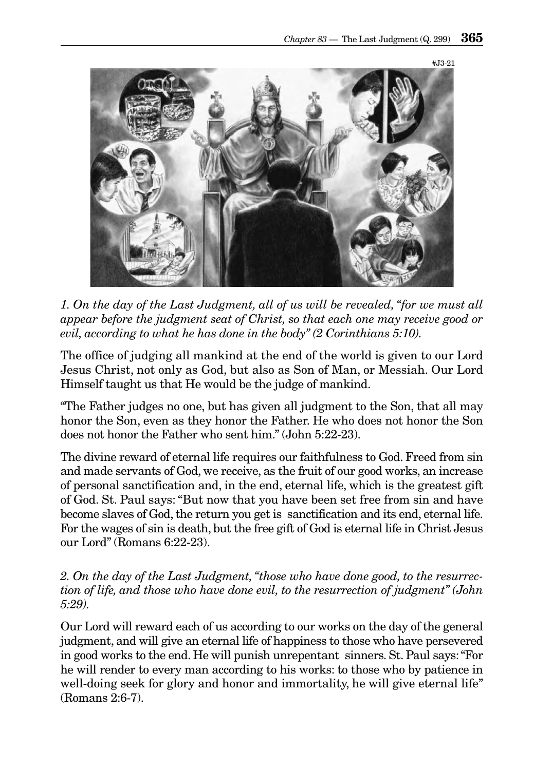



*1. On the day of the Last Judgment, all of us will be revealed, "for we must all appear before the judgment seat of Christ, so that each one may receive good or evil, according to what he has done in the body" (2 Corinthians 5:10).*

The office of judging all mankind at the end of the world is given to our Lord Jesus Christ, not only as God, but also as Son of Man, or Messiah. Our Lord Himself taught us that He would be the judge of mankind.

"The Father judges no one, but has given all judgment to the Son, that all may honor the Son, even as they honor the Father. He who does not honor the Son does not honor the Father who sent him." (John 5:22-23).

The divine reward of eternal life requires our faithfulness to God. Freed from sin and made servants of God, we receive, as the fruit of our good works, an increase of personal sanctification and, in the end, eternal life, which is the greatest gift of God. St. Paul says: "But now that you have been set free from sin and have become slaves of God, the return you get is sanctification and its end, eternal life. For the wages of sin is death, but the free gift of God is eternal life in Christ Jesus our Lord" (Romans 6:22-23).

*2. On the day of the Last Judgment, "those who have done good, to the resurrection of life, and those who have done evil, to the resurrection of judgment" (John 5:29).*

Our Lord will reward each of us according to our works on the day of the general judgment, and will give an eternal life of happiness to those who have persevered in good works to the end. He will punish unrepentant sinners. St. Paul says:"For he will render to every man according to his works: to those who by patience in well-doing seek for glory and honor and immortality, he will give eternal life" (Romans 2:6-7).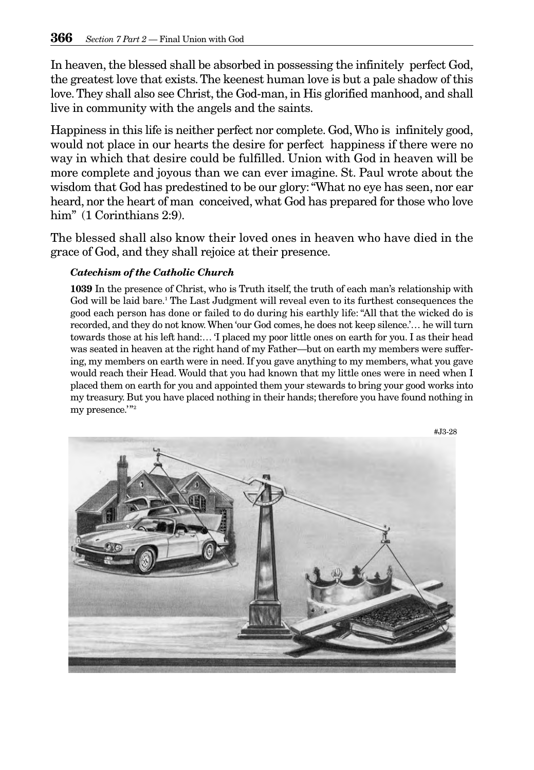In heaven, the blessed shall be absorbed in possessing the infinitely perfect God, the greatest love that exists.The keenest human love is but a pale shadow of this love.They shall also see Christ, the God-man, in His glorified manhood, and shall live in community with the angels and the saints.

Happiness in this life is neither perfect nor complete. God,Who is infinitely good, would not place in our hearts the desire for perfect happiness if there were no way in which that desire could be fulfilled. Union with God in heaven will be more complete and joyous than we can ever imagine. St. Paul wrote about the wisdom that God has predestined to be our glory:"What no eye has seen, nor ear heard, nor the heart of man conceived, what God has prepared for those who love him" (1 Corinthians 2:9).

The blessed shall also know their loved ones in heaven who have died in the grace of God, and they shall rejoice at their presence.

#### *Catechism of the Catholic Church*

**1039** In the presence of Christ, who is Truth itself, the truth of each man's relationship with God will be laid bare.1 The Last Judgment will reveal even to its furthest consequences the good each person has done or failed to do during his earthly life: "All that the wicked do is recorded, and they do not know.When 'our God comes, he does not keep silence.'… he will turn towards those at his left hand:… 'I placed my poor little ones on earth for you. I as their head was seated in heaven at the right hand of my Father—but on earth my members were suffering, my members on earth were in need. If you gave anything to my members, what you gave would reach their Head. Would that you had known that my little ones were in need when I placed them on earth for you and appointed them your stewards to bring your good works into my treasury. But you have placed nothing in their hands; therefore you have found nothing in my presence."<sup>2</sup>



#J3-28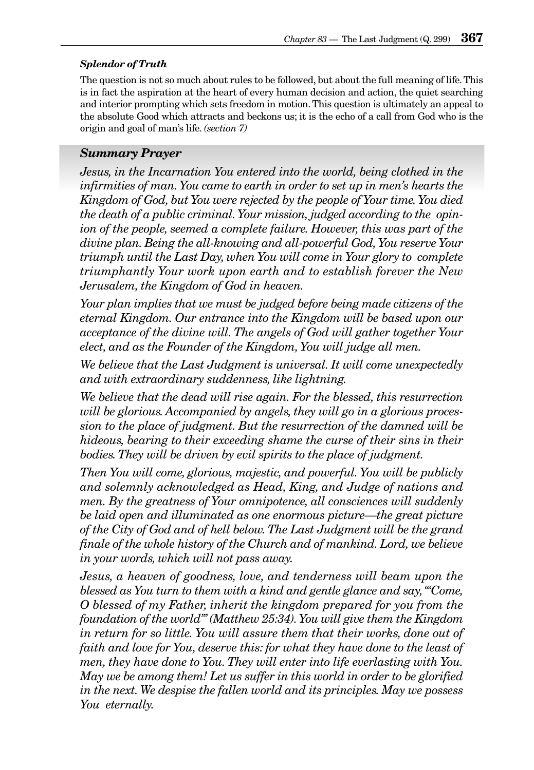#### *Splendor of Truth*

The question is not so much about rules to be followed, but about the full meaning of life. This is in fact the aspiration at the heart of every human decision and action, the quiet searching and interior prompting which sets freedom in motion.This question is ultimately an appeal to the absolute Good which attracts and beckons us; it is the echo of a call from God who is the origin and goal of man's life. *(section 7)*

#### *Summary Prayer*

*Jesus, in the Incarnation You entered into the world, being clothed in the infirmities of man.You came to earth in order to set up in men's hearts the Kingdom of God, but You were rejected by the people of Your time.You died the death of a public criminal.Your mission, judged according to the opinion of the people, seemed a complete failure. However, this was part of the divine plan. Being the all-knowing and all-powerful God,You reserve Your triumph until the Last Day, when You will come in Your glory to complete triumphantly Your work upon earth and to establish forever the New Jerusalem, the Kingdom of God in heaven.*

*Your plan implies that we must be judged before being made citizens of the eternal Kingdom. Our entrance into the Kingdom will be based upon our acceptance of the divine will. The angels of God will gather together Your elect, and as the Founder of the Kingdom, You will judge all men.*

*We believe that the Last Judgment is universal. It will come unexpectedly and with extraordinary suddenness, like lightning.*

*We believe that the dead will rise again. For the blessed, this resurrection will be glorious. Accompanied by angels, they will go in a glorious procession to the place of judgment. But the resurrection of the damned will be hideous, bearing to their exceeding shame the curse of their sins in their bodies. They will be driven by evil spirits to the place of judgment.*

*Then You will come, glorious, majestic, and powerful. You will be publicly and solemnly acknowledged as Head, King, and Judge of nations and men. By the greatness of Your omnipotence, all consciences will suddenly be laid open and illuminated as one enormous picture—the great picture of the City of God and of hell below. The Last Judgment will be the grand finale of the whole history of the Church and of mankind. Lord, we believe in your words, which will not pass away.*

*Jesus, a heaven of goodness, love, and tenderness will beam upon the blessed as You turn to them with a kind and gentle glance and say,"'Come, O blessed of my Father, inherit the kingdom prepared for you from the foundation of the world'" (Matthew 25:34).You will give them the Kingdom in return for so little. You will assure them that their works, done out of faith and love for You, deserve this: for what they have done to the least of men, they have done to You. They will enter into life everlasting with You. May we be among them! Let us suffer in this world in order to be glorified in the next. We despise the fallen world and its principles. May we possess You eternally.*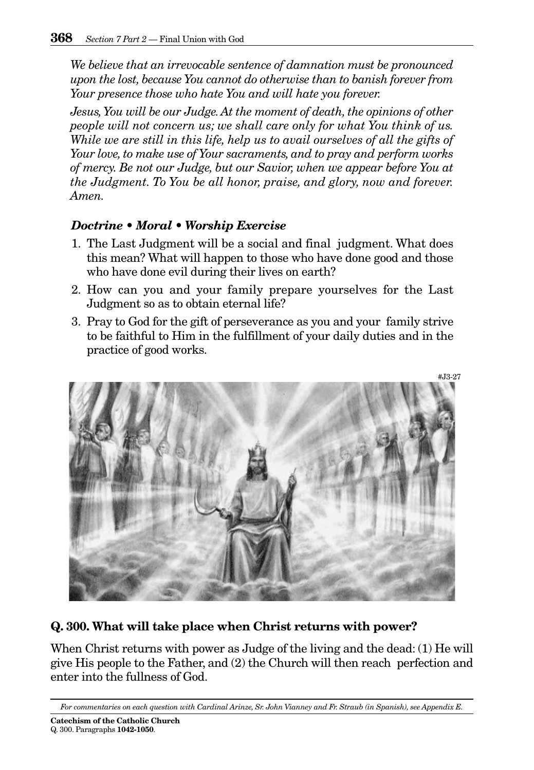*We believe that an irrevocable sentence of damnation must be pronounced upon the lost, because You cannot do otherwise than to banish forever from Your presence those who hate You and will hate you forever.*

*Jesus,You will be our Judge.At the moment of death, the opinions of other people will not concern us; we shall care only for what You think of us. While we are still in this life, help us to avail ourselves of all the gifts of Your love, to make use of Your sacraments, and to pray and perform works of mercy. Be not our Judge, but our Savior, when we appear before You at the Judgment. To You be all honor, praise, and glory, now and forever. Amen.*

## *Doctrine • Moral • Worship Exercise*

- 1. The Last Judgment will be a social and final judgment. What does this mean? What will happen to those who have done good and those who have done evil during their lives on earth?
- 2. How can you and your family prepare yourselves for the Last Judgment so as to obtain eternal life?
- 3. Pray to God for the gift of perseverance as you and your family strive to be faithful to Him in the fulfillment of your daily duties and in the practice of good works.



## **Q. 300. What will take place when Christ returns with power?**

When Christ returns with power as Judge of the living and the dead: (1) He will give His people to the Father, and (2) the Church will then reach perfection and enter into the fullness of God.

**Catechism of the Catholic Church** Q. 300. Paragraphs **1042-1050**.

*For commentaries on each question with Cardinal Arinze, Sr. John Vianney and Fr. Straub (in Spanish), see Appendix E.*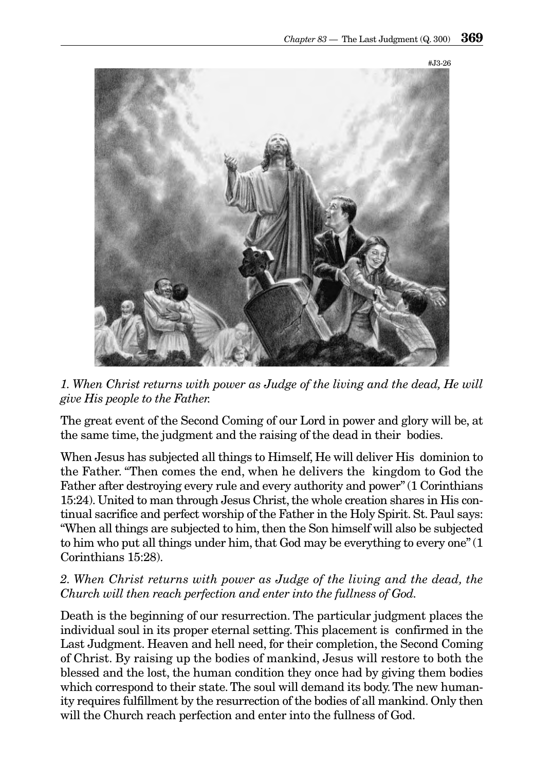

*1. When Christ returns with power as Judge of the living and the dead, He will give His people to the Father.*

The great event of the Second Coming of our Lord in power and glory will be, at the same time, the judgment and the raising of the dead in their bodies.

When Jesus has subjected all things to Himself, He will deliver His dominion to the Father. "Then comes the end, when he delivers the kingdom to God the Father after destroying every rule and every authority and power" (1 Corinthians 15:24). United to man through Jesus Christ, the whole creation shares in His continual sacrifice and perfect worship of the Father in the Holy Spirit. St. Paul says: "When all things are subjected to him, then the Son himself will also be subjected to him who put all things under him, that God may be everything to every one" (1 Corinthians 15:28).

## *2. When Christ returns with power as Judge of the living and the dead, the Church will then reach perfection and enter into the fullness of God.*

Death is the beginning of our resurrection. The particular judgment places the individual soul in its proper eternal setting. This placement is confirmed in the Last Judgment. Heaven and hell need, for their completion, the Second Coming of Christ. By raising up the bodies of mankind, Jesus will restore to both the blessed and the lost, the human condition they once had by giving them bodies which correspond to their state. The soul will demand its body. The new humanity requires fulfillment by the resurrection of the bodies of all mankind. Only then will the Church reach perfection and enter into the fullness of God.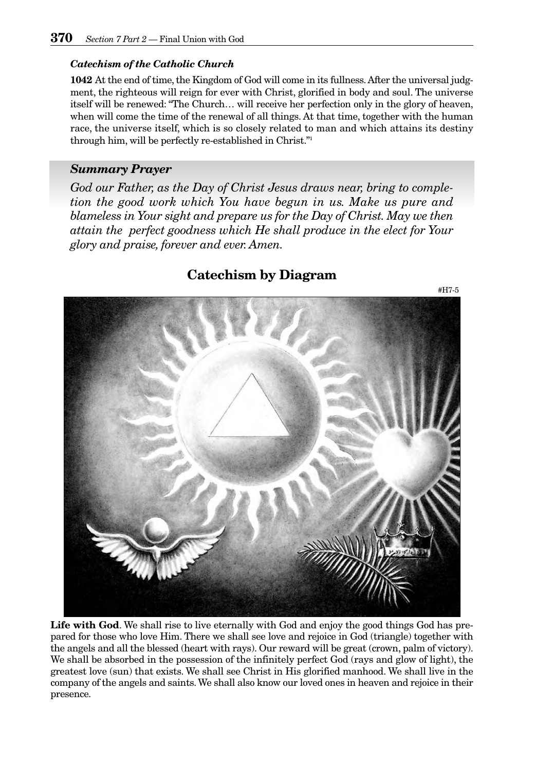#### *Catechism of the Catholic Church*

**1042** At the end of time, the Kingdom of God will come in its fullness.After the universal judgment, the righteous will reign for ever with Christ, glorified in body and soul. The universe itself will be renewed: "The Church… will receive her perfection only in the glory of heaven, when will come the time of the renewal of all things. At that time, together with the human race, the universe itself, which is so closely related to man and which attains its destiny through him, will be perfectly re-established in Christ."1

#### *Summary Prayer*

*God our Father, as the Day of Christ Jesus draws near, bring to completion the good work which You have begun in us. Make us pure and blameless in Your sight and prepare us for the Day of Christ. May we then attain the perfect goodness which He shall produce in the elect for Your glory and praise, forever and ever. Amen.*



## **Catechism by Diagram**

**Life with God**. We shall rise to live eternally with God and enjoy the good things God has prepared for those who love Him. There we shall see love and rejoice in God (triangle) together with the angels and all the blessed (heart with rays). Our reward will be great (crown, palm of victory). We shall be absorbed in the possession of the infinitely perfect God (rays and glow of light), the greatest love (sun) that exists. We shall see Christ in His glorified manhood. We shall live in the company of the angels and saints. We shall also know our loved ones in heaven and rejoice in their presence.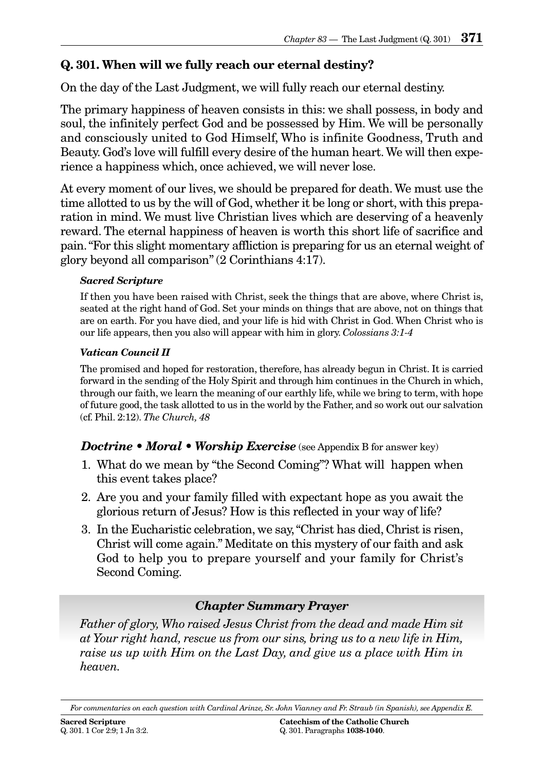# **Q. 301. When will we fully reach our eternal destiny?**

On the day of the Last Judgment, we will fully reach our eternal destiny.

The primary happiness of heaven consists in this: we shall possess, in body and soul, the infinitely perfect God and be possessed by Him. We will be personally and consciously united to God Himself, Who is infinite Goodness, Truth and Beauty. God's love will fulfill every desire of the human heart.We will then experience a happiness which, once achieved, we will never lose.

At every moment of our lives, we should be prepared for death. We must use the time allotted to us by the will of God, whether it be long or short, with this preparation in mind. We must live Christian lives which are deserving of a heavenly reward. The eternal happiness of heaven is worth this short life of sacrifice and pain."For this slight momentary affliction is preparing for us an eternal weight of glory beyond all comparison" (2 Corinthians 4:17).

### *Sacred Scripture*

If then you have been raised with Christ, seek the things that are above, where Christ is, seated at the right hand of God. Set your minds on things that are above, not on things that are on earth. For you have died, and your life is hid with Christ in God. When Christ who is our life appears, then you also will appear with him in glory. *Colossians 3:1-4*

### *Vatican Council II*

The promised and hoped for restoration, therefore, has already begun in Christ. It is carried forward in the sending of the Holy Spirit and through him continues in the Church in which, through our faith, we learn the meaning of our earthly life, while we bring to term, with hope of future good, the task allotted to us in the world by the Father, and so work out our salvation (cf. Phil. 2:12). *The Church, 48*

## *Doctrine • Moral • Worship Exercise* (see Appendix B for answer key)

- 1. What do we mean by "the Second Coming"? What will happen when this event takes place?
- 2. Are you and your family filled with expectant hope as you await the glorious return of Jesus? How is this reflected in your way of life?
- 3. In the Eucharistic celebration, we say,"Christ has died, Christ is risen, Christ will come again." Meditate on this mystery of our faith and ask God to help you to prepare yourself and your family for Christ's Second Coming.

## *Chapter Summary Prayer*

*Father of glory, Who raised Jesus Christ from the dead and made Him sit at Your right hand, rescue us from our sins, bring us to a new life in Him, raise us up with Him on the Last Day, and give us a place with Him in heaven.*

*For commentaries on each question with Cardinal Arinze, Sr. John Vianney and Fr. Straub (in Spanish), see Appendix E.*